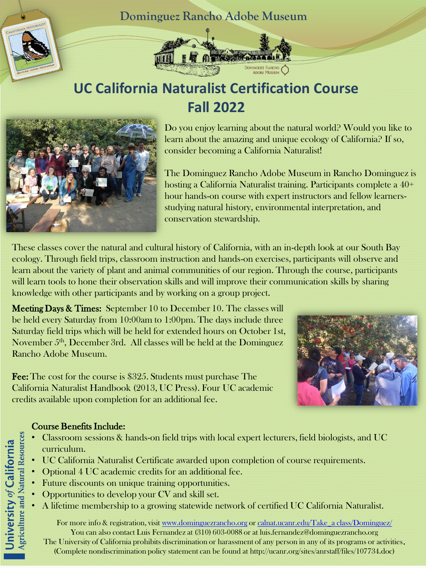



# **UC California Naturalist Certification Course Fall 2022**



Do you enjoy learning about the natural world? Would you like to learn about the amazing and unique ecology of California? If so, consider becoming a California Naturalist!

The Dominguez Rancho Adobe Museum in Rancho Dominguez is hosting a California Naturalist training. Participants complete a  $40+$ hour hands-on course with expert instructors and fellow learnersstudying natural history, environmental interpretation, and conservation stewardship.

These classes cover the natural and cultural history of California, with an in-depth look at our South Bay ecology. Through field trips, classroom instruction and hands-on exercises, participants will observe and learn about the variety of plant and animal communities of our region. Through the course, participants will learn tools to hone their observation skills and will improve their communication skills by sharing knowledge with other participants and by working on a group project.

Meeting Days & Times: September 10 to December 10. The classes will be held every Saturday from 10:00am to 1:00pm. The days include three Saturday field trips which will be held for extended hours on October 1st, November 5<sup>th</sup>, December 3rd. All classes will be held at the Dominguez Rancho Adobe Museum.

Fee: The cost for the course is \$325. Students must purchase The California Naturalist Handbook (2013, UC Press). Four UC academic credits available upon completion for an additional fee.



### Course Benefits Include:

- Classroom sessions & hands-on field trips with local expert lecturers, field biologists, and UC curriculum.
- UC California Naturalist Certificate awarded upon completion of course requirements.
- Optional 4 UC academic credits for an additional fee.
- Future discounts on unique training opportunities.
- Opportunities to develop your CV and skill set.
- A lifetime membership to a growing statewide network of certified UC California Naturalist.

For more info & registration, visit [www.dominguezrancho.org](http://www.dominguezrancho.org/) or calnat.ucanr.edu/Take\_a class/Dominguez/ You can also contact Luis Fernandez at (310) 603-0088 or at luis.fernandez@dominguezrancho.org The University of California prohibits discrimination or harassment of any person in any of its programs or activities. (Complete nondiscrimination policy statement can be found at http://ucanr.org/sites/anrstaff/files/107734.doc)